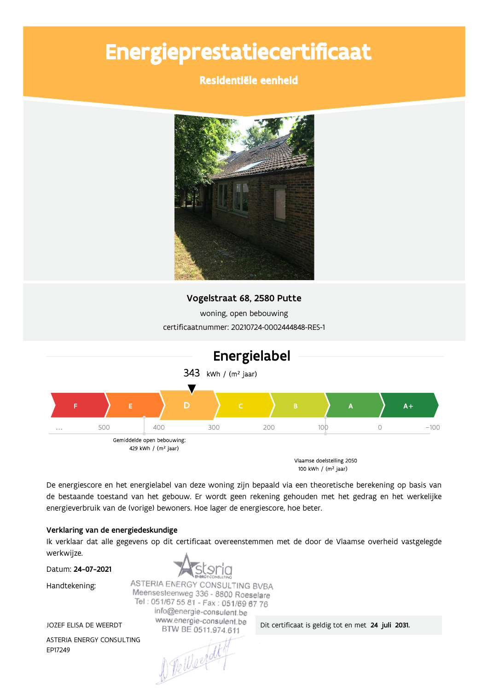# Energieprestatiecertificaat

### Residentiële eenheid



#### Vogelstraat 68, 2580 Putte

woning, open bebouwing certificaatnummer: 20210724-0002444848-RES-1



100 kWh / (m<sup>2</sup> jaar)

De energiescore en het energielabel van deze woning zijn bepaald via een theoretische berekening op basis van de bestaande toestand van het gebouw. Er wordt geen rekening gehouden met het gedrag en het werkelijke energieverbruik van de (vorige) bewoners. Hoe lager de energiescore, hoe beter.

#### Verklaring van de energiedeskundige

Ik verklaar dat alle gegevens op dit certificaat overeenstemmen met de door de Vlaamse overheid vastgelegde werkwijze.

Datum: 24-07-2021

JOZEF ELISA DE WEERDT

ASTERIA ENERGY CONSULTING

Handtekening:

EP17249

ASTERIA ENERGY CONSULTING BVBA Meensesteenweg 336 - 8800 Roeselare Tel: 051/67 55 81 - Fax: 051/69 67 76 info@energie-consulent.be www.energie-consulent.be BTW BE 0511.974.611

D Tellsefalt

Dit certificaat is geldig tot en met 24 juli 2031.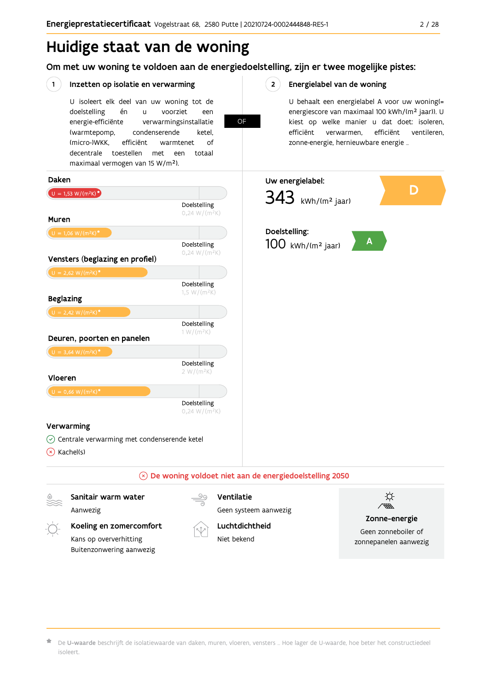# Huidige staat van de woning

Om met uw woning te voldoen aan de energiedoelstelling, zijn er twee mogelijke pistes:

OF

#### $(1)$ Inzetten op isolatie en verwarming

U isoleert elk deel van uw woning tot de voorziet doelstelling én  $\mathbf{u}$ een energie-efficiënte verwarmingsinstallatie (warmtepomp, condenserende ketel. (micro-)WKK. efficiënt warmtenet  $\bigcap_{ }$ decentrale toestellen met een totaal maximaal vermogen van 15 W/m<sup>2</sup>).

#### $2^{\circ}$ Energielabel van de woning

U behaalt een energielabel A voor uw woning(= energiescore van maximaal 100 kWh/(m<sup>2</sup> jaar)). U kiest op welke manier u dat doet: isoleren, efficiënt efficiënt ventileren, verwarmen, zonne-energie, hernieuwbare energie ...



De U-waarde beschrijft de isolatiewaarde van daken, muren, vloeren, vensters ... Hoe lager de U-waarde, hoe beter het constructiedeel isoleert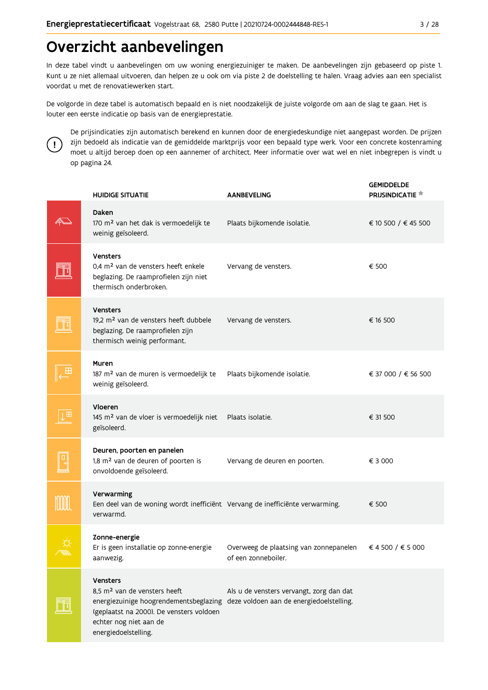# Overzicht aanbevelingen

In deze tabel vindt u aanbevelingen om uw woning energiezuiniger te maken. De aanbevelingen zijn gebaseerd op piste 1. Kunt u ze niet allemaal uitvoeren, dan helpen ze u ook om via piste 2 de doelstelling te halen. Vraag advies aan een specialist voordat u met de renovatiewerken start.

De volgorde in deze tabel is automatisch bepaald en is niet noodzakelijk de juiste volgorde om aan de slag te gaan. Het is louter een eerste indicatie op basis van de energieprestatie.



De prijsindicaties zijn automatisch berekend en kunnen door de energiedeskundige niet aangepast worden. De prijzen zijn bedoeld als indicatie van de gemiddelde marktprijs voor een bepaald type werk. Voor een concrete kostenraming moet u altijd beroep doen op een aannemer of architect. Meer informatie over wat wel en niet inbegrepen is vindt u op pagina 24.

| <b>HUIDIGE SITUATIE</b>                                                                                                                                                                                                                      | <b>AANBEVELING</b>                                            | <b>GEMIDDELDE</b><br><b>PRIJSINDICATIE</b> |
|----------------------------------------------------------------------------------------------------------------------------------------------------------------------------------------------------------------------------------------------|---------------------------------------------------------------|--------------------------------------------|
| Daken<br>170 m <sup>2</sup> van het dak is vermoedelijk te<br>weinig geïsoleerd.                                                                                                                                                             | Plaats bijkomende isolatie.                                   | € 10 500 / € 45 500                        |
| <b>Vensters</b><br>0,4 m <sup>2</sup> van de vensters heeft enkele<br>beglazing. De raamprofielen zijn niet<br>thermisch onderbroken.                                                                                                        | Vervang de vensters.                                          | € 500                                      |
| <b>Vensters</b><br>19,2 m <sup>2</sup> van de vensters heeft dubbele<br>beglazing. De raamprofielen zijn<br>thermisch weinig performant.                                                                                                     | Vervang de vensters.                                          | € 16 500                                   |
| Muren<br>187 m <sup>2</sup> van de muren is vermoedelijk te<br>weinig geïsoleerd.                                                                                                                                                            | Plaats bijkomende isolatie.                                   | € 37 000 / € 56 500                        |
| Vloeren<br>145 m <sup>2</sup> van de vloer is vermoedelijk niet<br>geïsoleerd.                                                                                                                                                               | Plaats isolatie.                                              | € 31 500                                   |
| Deuren, poorten en panelen<br>1,8 m <sup>2</sup> van de deuren of poorten is<br>onvoldoende geïsoleerd.                                                                                                                                      | Vervang de deuren en poorten.                                 | € 3 000                                    |
| Verwarming<br>Een deel van de woning wordt inefficiënt Vervang de inefficiënte verwarming.<br>verwarmd.                                                                                                                                      |                                                               | € 500                                      |
| Zonne-energie<br>Er is geen installatie op zonne-energie<br>aanwezig.                                                                                                                                                                        | Overweeg de plaatsing van zonnepanelen<br>of een zonneboiler. | € 4 500 / € 5 000                          |
| <b>Vensters</b><br>8,5 m <sup>2</sup> van de vensters heeft<br>energiezuinige hoogrendementsbeglazing deze voldoen aan de energiedoelstelling.<br>(geplaatst na 2000). De vensters voldoen<br>echter nog niet aan de<br>energiedoelstelling. | Als u de vensters vervangt, zorg dan dat                      |                                            |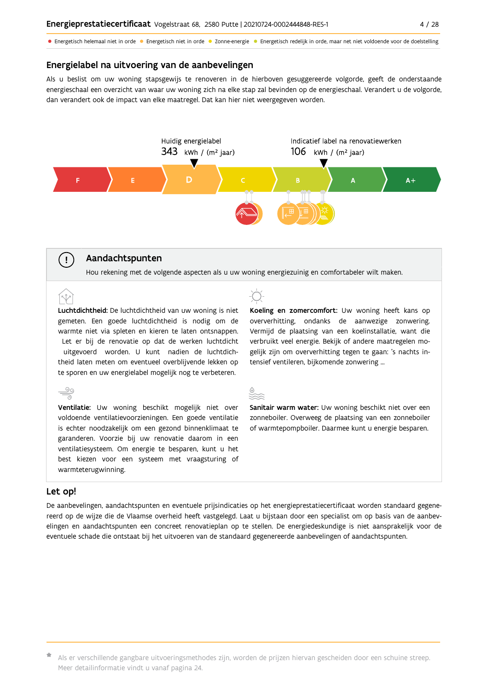• Energetisch helemaal niet in orde • Energetisch niet in orde • Zonne-energie • Energetisch redelijk in orde, maar net niet voldoende voor de doelstelling

#### Energielabel na uitvoering van de aanbevelingen

Als u beslist om uw woning stapsgewijs te renoveren in de hierboven gesuggereerde volgorde, geeft de onderstaande energieschaal een overzicht van waar uw woning zich na elke stap zal bevinden op de energieschaal. Verandert u de volgorde, dan verandert ook de impact van elke maatregel. Dat kan hier niet weergegeven worden.



#### Aandachtspunten

Hou rekening met de volgende aspecten als u uw woning energiezuinig en comfortabeler wilt maken.

Luchtdichtheid: De luchtdichtheid van uw woning is niet gemeten. Een goede luchtdichtheid is nodig om de warmte niet via spleten en kieren te laten ontsnappen. Let er bij de renovatie op dat de werken luchtdicht uitgevoerd worden. U kunt nadien de luchtdichtheid laten meten om eventueel overblijvende lekken op te sporen en uw energielabel mogelijk nog te verbeteren.

Ventilatie: Uw woning beschikt mogelijk niet over voldoende ventilatievoorzieningen. Een goede ventilatie is echter noodzakelijk om een gezond binnenklimaat te garanderen. Voorzie bij uw renovatie daarom in een ventilatiesysteem. Om energie te besparen, kunt u het best kiezen voor een systeem met vraagsturing of warmteterugwinning.

Koeling en zomercomfort: Uw woning heeft kans op oververhitting, ondanks de aanwezige zonwering. Vermijd de plaatsing van een koelinstallatie, want die verbruikt veel energie. Bekijk of andere maatregelen mogelijk zijn om oververhitting tegen te gaan: 's nachts intensief ventileren, bijkomende zonwering ...



Sanitair warm water: Uw woning beschikt niet over een zonneboiler. Overweeg de plaatsing van een zonneboiler of warmtepompboiler. Daarmee kunt u energie besparen.

#### Let op!

 $\left(\begin{array}{c} 1 \end{array}\right)$ 

De aanbevelingen, aandachtspunten en eventuele prijsindicaties op het energieprestatiecertificaat worden standaard gegenereerd op de wijze die de Vlaamse overheid heeft vastgelegd. Laat u bijstaan door een specialist om op basis van de aanbevelingen en aandachtspunten een concreet renovatieplan op te stellen. De energiedeskundige is niet aansprakelijk voor de eventuele schade die ontstaat bij het uitvoeren van de standaard gegenereerde aanbevelingen of aandachtspunten.

\* Als er verschillende gangbare uitvoeringsmethodes zijn, worden de prijzen hiervan gescheiden door een schuine streep. Meer detailinformatie vindt u vanaf pagina 24.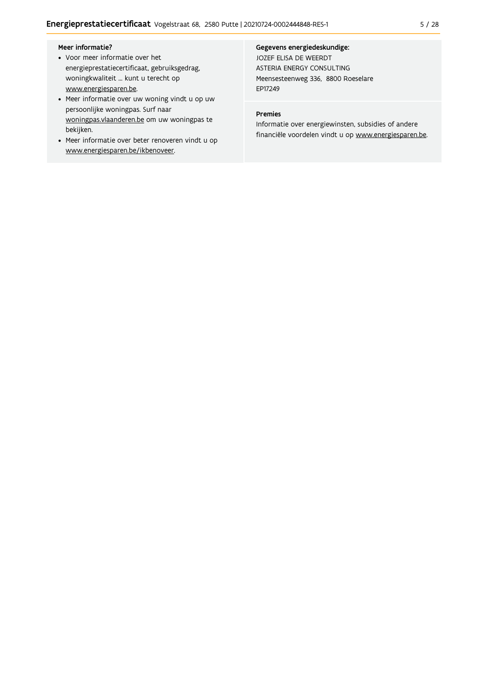#### Meer informatie?

- Voor meer informatie over het energieprestatiecertificaat, gebruiksgedrag, woningkwaliteit ... kunt u terecht op www.energiesparen.be.
- Meer informatie over uw woning vindt u op uw persoonlijke woningpas. Surf naar woningpas.vlaanderen.be om uw woningpas te bekijken.
- Meer informatie over beter renoveren vindt u op www.energiesparen.be/ikbenoveer.

#### Gegevens energiedeskundige:

JOZEF ELISA DE WEERDT ASTERIA ENERGY CONSULTING Meensesteenweg 336, 8800 Roeselare EP17249

#### Premies

Informatie over energiewinsten, subsidies of andere financiële voordelen vindt u op www.energiesparen.be.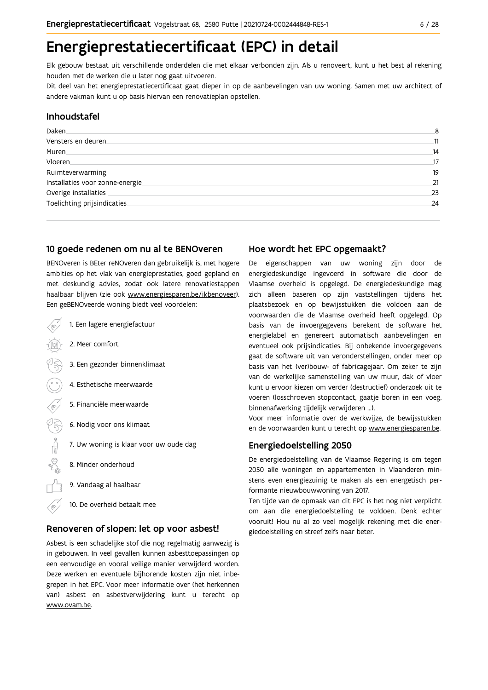# Energieprestatiecertificaat (EPC) in detail

Elk gebouw bestaat uit verschillende onderdelen die met elkaar verbonden zijn. Als u renoveert, kunt u het best al rekening houden met de werken die u later nog gaat uitvoeren.

Dit deel van het energieprestatiecertificaat gaat dieper in op de aanbevelingen van uw woning. Samen met uw architect of andere vakman kunt u op basis hiervan een renovatieplan opstellen.

#### Inhoudstafel

| Daken.                           | 8  |
|----------------------------------|----|
| Vensters en deuren               | 11 |
| Muren                            | 14 |
| Vloeren                          | 17 |
| Ruimteverwarming                 | 19 |
| Installaties voor zonne-energie. | 21 |
| Overige installaties             | 23 |
| Toelichting prijsindicaties      | 24 |
|                                  |    |

#### 10 goede redenen om nu al te BENOveren

BENOveren is BEter reNOveren dan gebruikelijk is, met hogere ambities op het vlak van energieprestaties, goed gepland en met deskundig advies, zodat ook latere renovatiestappen haalbaar blijven (zie ook www.energiesparen.be/ikbenoveer). Fen geBENOveerde woning biedt veel voordelen:

| 1. Een lagere energiefactuur           |
|----------------------------------------|
| 2. Meer comfort                        |
| 3. Een gezonder binnenklimaat          |
| 4. Esthetische meerwaarde              |
| 5. Financiële meerwaarde               |
| 6. Nodig voor ons klimaat              |
| 7. Uw woning is klaar voor uw oude dag |
| 8. Minder onderhoud                    |
| 9. Vandaag al haalbaar                 |

10. De overheid betaalt mee

#### Renoveren of slopen: let op voor asbest!

Asbest is een schadelijke stof die nog regelmatig aanwezig is in gebouwen. In veel gevallen kunnen asbesttoepassingen op een eenvoudige en vooral veilige manier verwijderd worden. Deze werken en eventuele bijhorende kosten zijn niet inbegrepen in het EPC. Voor meer informatie over (het herkennen van) asbest en asbestverwijdering kunt u terecht op www.ovam.be.

#### Hoe wordt het EPC opgemaakt?

De eigenschappen van uw woning zijn door de energiedeskundige ingevoerd in software die door de Vlaamse overheid is opgelegd. De energiedeskundige mag zich alleen baseren op zijn vaststellingen tijdens het plaatsbezoek en op bewijsstukken die voldoen aan de voorwaarden die de Vlaamse overheid heeft opgelegd. Op basis van de invoergegevens berekent de software het energielabel en genereert automatisch aanbevelingen en eventueel ook prijsindicaties. Bij onbekende invoergegevens gaat de software uit van veronderstellingen, onder meer op basis van het (ver)bouw- of fabricagejaar. Om zeker te zijn van de werkelijke samenstelling van uw muur, dak of vloer kunt u ervoor kiezen om verder (destructief) onderzoek uit te voeren (losschroeven stopcontact, gaatje boren in een voeg, binnenafwerking tijdelijk verwijderen ...).

Voor meer informatie over de werkwijze, de bewijsstukken en de voorwaarden kunt u terecht op www.energiesparen.be.

#### **Energiedoelstelling 2050**

De energiedoelstelling van de Vlaamse Regering is om tegen 2050 alle woningen en appartementen in Vlaanderen minstens even energiezuinig te maken als een energetisch performante nieuwbouwwoning van 2017.

Ten tijde van de opmaak van dit EPC is het nog niet verplicht om aan die energiedoelstelling te voldoen. Denk echter vooruit! Hou nu al zo veel mogelijk rekening met die energiedoelstelling en streef zelfs naar beter.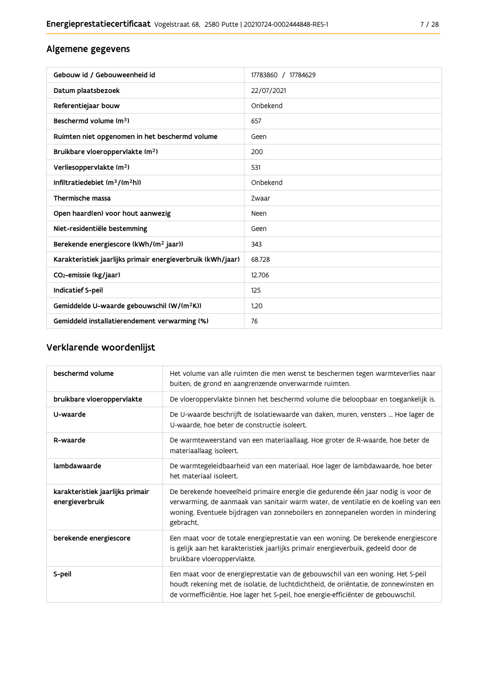### Algemene gegevens

| Gebouw id / Gebouweenheid id                                | 17783860 / 17784629 |
|-------------------------------------------------------------|---------------------|
| Datum plaatsbezoek                                          | 22/07/2021          |
| Referentiejaar bouw                                         | Onbekend            |
| Beschermd volume (m <sup>3</sup> )                          | 657                 |
| Ruimten niet opgenomen in het beschermd volume              | Geen                |
| Bruikbare vloeroppervlakte (m <sup>2</sup> )                | 200                 |
| Verliesoppervlakte (m <sup>2</sup> )                        | 531                 |
| Infiltratiedebiet (m <sup>3</sup> /(m <sup>2</sup> h))      | Onbekend            |
| Thermische massa                                            | Zwaar               |
| Open haard(en) voor hout aanwezig                           | <b>Neen</b>         |
| Niet-residentiële bestemming                                | Geen                |
| Berekende energiescore (kWh/(m <sup>2</sup> jaar))          | 343                 |
| Karakteristiek jaarlijks primair energieverbruik (kWh/jaar) | 68.728              |
| CO <sub>2</sub> -emissie (kg/jaar)                          | 12.706              |
| <b>Indicatief S-peil</b>                                    | 125                 |
| Gemiddelde U-waarde gebouwschil (W/(m <sup>2</sup> K))      | 1.20                |
| Gemiddeld installatierendement verwarming (%)               | 76                  |

### Verklarende woordenlijst

| beschermd volume                                    | Het volume van alle ruimten die men wenst te beschermen tegen warmteverlies naar<br>buiten, de grond en aangrenzende onverwarmde ruimten.                                                                                                                                 |
|-----------------------------------------------------|---------------------------------------------------------------------------------------------------------------------------------------------------------------------------------------------------------------------------------------------------------------------------|
| bruikbare vloeroppervlakte                          | De vloeroppervlakte binnen het beschermd volume die beloopbaar en toegankelijk is.                                                                                                                                                                                        |
| U-waarde                                            | De U-waarde beschrijft de isolatiewaarde van daken, muren, vensters  Hoe lager de<br>U-waarde, hoe beter de constructie isoleert.                                                                                                                                         |
| R-waarde                                            | De warmteweerstand van een materiaallaag. Hoe groter de R-waarde, hoe beter de<br>materiaallaag isoleert.                                                                                                                                                                 |
| lambdawaarde                                        | De warmtegeleidbaarheid van een materiaal. Hoe lager de lambdawaarde, hoe beter<br>het materiaal isoleert.                                                                                                                                                                |
| karakteristiek jaarlijks primair<br>energieverbruik | De berekende hoeveelheid primaire energie die gedurende één jaar nodig is voor de<br>verwarming, de aanmaak van sanitair warm water, de ventilatie en de koeling van een<br>woning. Eventuele bijdragen van zonneboilers en zonnepanelen worden in mindering<br>gebracht. |
| berekende energiescore                              | Een maat voor de totale energieprestatie van een woning. De berekende energiescore<br>is gelijk aan het karakteristiek jaarlijks primair energieverbuik, gedeeld door de<br>bruikbare vloeroppervlakte.                                                                   |
| S-peil                                              | Een maat voor de energieprestatie van de gebouwschil van een woning. Het S-peil<br>houdt rekening met de isolatie, de luchtdichtheid, de oriëntatie, de zonnewinsten en<br>de vormefficiëntie. Hoe lager het S-peil, hoe energie-efficiënter de gebouwschil.              |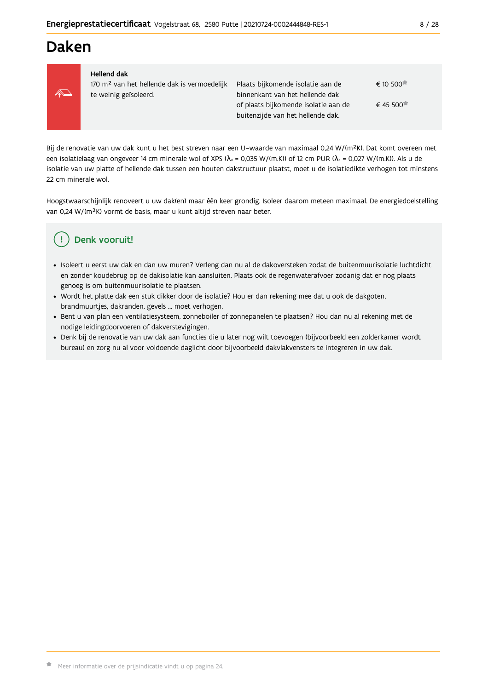# **Daken**



#### **Hellend dak**

170 m<sup>2</sup> van het hellende dak is vermoedelijk te weinig geïsoleerd.

Plaats bijkomende isolatie aan de  $\epsilon$  10.500 $\star$ binnenkant van het hellende dak € 45 500 of plaats bijkomende isolatie aan de buitenzijde van het hellende dak.

Bij de renovatie van uw dak kunt u het best streven naar een U-waarde van maximaal 0,24 W/(m<sup>2</sup>K). Dat komt overeen met een isolatielaag van ongeveer 14 cm minerale wol of XPS ( $\lambda_a$  = 0,035 W/(m.K)) of 12 cm PUR ( $\lambda_a$  = 0,027 W/(m.K)). Als u de isolatie van uw platte of hellende dak tussen een houten dakstructuur plaatst, moet u de isolatiedikte verhogen tot minstens 22 cm minerale wol.

Hoogstwaarschijnlijk renoveert u uw dak(en) maar één keer grondig. Isoleer daarom meteen maximaal. De energiedoelstelling van 0,24 W/(m<sup>2</sup>K) vormt de basis, maar u kunt altijd streven naar beter.

# Denk vooruit!

- · Isoleert u eerst uw dak en dan uw muren? Verleng dan nu al de dakoversteken zodat de buitenmuurisolatie luchtdicht en zonder koudebrug op de dakisolatie kan aansluiten. Plaats ook de regenwaterafvoer zodanig dat er nog plaats genoeg is om buitenmuurisolatie te plaatsen.
- · Wordt het platte dak een stuk dikker door de isolatie? Hou er dan rekening mee dat u ook de dakgoten, brandmuurtjes, dakranden, gevels ... moet verhogen.
- · Bent u van plan een ventilatiesysteem, zonneboiler of zonnepanelen te plaatsen? Hou dan nu al rekening met de nodige leidingdoorvoeren of dakverstevigingen.
- · Denk bij de renovatie van uw dak aan functies die u later nog wilt toevoegen (bijvoorbeeld een zolderkamer wordt bureau) en zorg nu al voor voldoende daglicht door bijvoorbeeld dakvlakvensters te integreren in uw dak.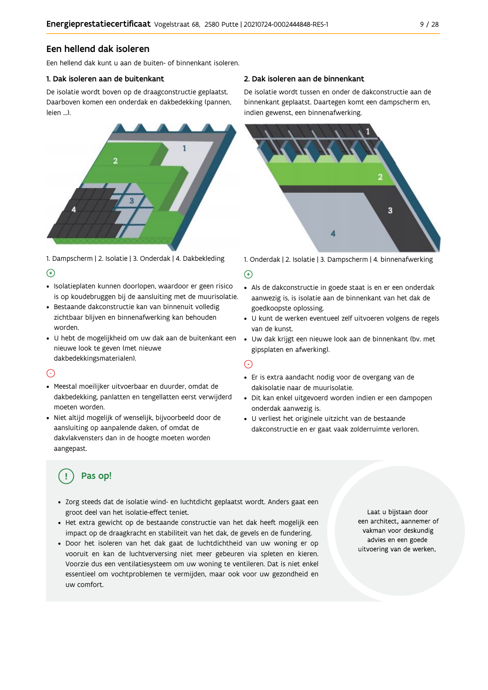### Een hellend dak isoleren

Fen hellend dak kunt u aan de buiten- of binnenkant isoleren

#### 1. Dak isoleren aan de buitenkant

De isolatie wordt boven op de draagconstructie geplaatst. Daarboven komen een onderdak en dakbedekking (pannen, leien J



1. Dampscherm | 2. Isolatie | 3. Onderdak | 4. Dakbekleding  $\Theta$ 

- · Isolatieplaten kunnen doorlopen, waardoor er geen risico is op koudebruggen bij de aansluiting met de muurisolatie.
- · Bestaande dakconstructie kan van binnenuit volledig zichtbaar blijven en binnenafwerking kan behouden worden.
- · U hebt de mogelijkheid om uw dak aan de buitenkant een nieuwe look te geven (met nieuwe dakbedekkingsmaterialen).

#### ⊙

- · Meestal moeilijker uitvoerbaar en duurder, omdat de dakbedekking, panlatten en tengellatten eerst verwijderd moeten worden.
- · Niet altijd mogelijk of wenselijk, bijvoorbeeld door de aansluiting op aanpalende daken, of omdat de dakvlakvensters dan in de hoogte moeten worden aangepast.

#### 2. Dak isoleren aan de binnenkant

De isolatie wordt tussen en onder de dakconstructie aan de binnenkant geplaatst. Daartegen komt een dampscherm en, indien gewenst, een binnenafwerking.



1. Onderdak | 2. Isolatie | 3. Dampscherm | 4. binnenafwerking

#### $\bigoplus$

- Als de dakconstructie in goede staat is en er een onderdak aanwezig is, is isolatie aan de binnenkant van het dak de goedkoopste oplossing.
- · U kunt de werken eventueel zelf uitvoeren volgens de regels van de kunst.
- · Uw dak krijgt een nieuwe look aan de binnenkant (bv. met gipsplaten en afwerking).

#### ⊙

- · Er is extra aandacht nodig voor de overgang van de dakisolatie naar de muurisolatie.
- · Dit kan enkel uitgevoerd worden indien er een dampopen onderdak aanwezig is.
- · U verliest het originele uitzicht van de bestaande dakconstructie en er gaat vaak zolderruimte verloren.

# Pas op!

- · Zorg steeds dat de isolatie wind- en luchtdicht geplaatst wordt. Anders gaat een groot deel van het isolatie-effect teniet.
- · Het extra gewicht op de bestaande constructie van het dak heeft mogelijk een impact op de draagkracht en stabiliteit van het dak, de gevels en de fundering.
- · Door het isoleren van het dak gaat de luchtdichtheid van uw woning er op vooruit en kan de luchtverversing niet meer gebeuren via spleten en kieren. Voorzie dus een ventilatiesysteem om uw woning te ventileren. Dat is niet enkel essentieel om vochtproblemen te vermijden, maar ook voor uw gezondheid en uw comfort.

Laat u bijstaan door een architect, aannemer of vakman voor deskundig advies en een goede uitvoering van de werken.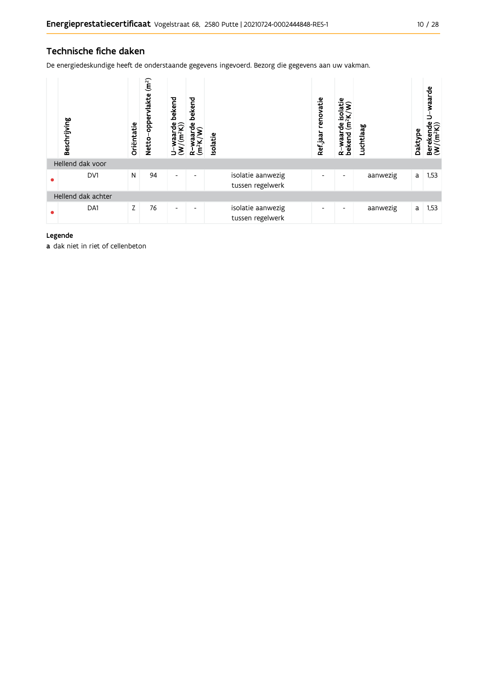### Technische fiche daken

De energiedeskundige heeft de onderstaande gegevens ingevoerd. Bezorg die gegevens aan uw vakman.

| Beschrijving       | Oriëntatie | (m <sup>2</sup> )<br>vlakte<br>Netto-opper | bekend<br>U-waarde l<br>(W/(m <sup>2</sup> K))<br>ć | bekend<br>waarde<br><sup>2</sup> K/W)<br>(m <sup>2</sup> K)<br>$\alpha$ | Isolatie |                                       | renovatie<br>Refjaar | rde isolatie<br>$(m^2K/W)$<br>waarde<br>R-waar<br>bekend | Luchtlaag | Daktype | waarde<br>⇒<br>Berekende<br>$(W/(m^2K))$ |
|--------------------|------------|--------------------------------------------|-----------------------------------------------------|-------------------------------------------------------------------------|----------|---------------------------------------|----------------------|----------------------------------------------------------|-----------|---------|------------------------------------------|
| Hellend dak voor   |            |                                            |                                                     |                                                                         |          |                                       |                      |                                                          |           |         |                                          |
| DV1                | N          | 94                                         | $\overline{\phantom{a}}$                            | ٠                                                                       |          | isolatie aanwezig<br>tussen regelwerk | ٠                    | ٠                                                        | aanwezig  | a       | 1,53                                     |
| Hellend dak achter |            |                                            |                                                     |                                                                         |          |                                       |                      |                                                          |           |         |                                          |
| DA1                | Z          | 76                                         | $\overline{\phantom{a}}$                            | $\overline{\phantom{a}}$                                                |          | isolatie aanwezig<br>tussen regelwerk | ٠                    | $\overline{\phantom{a}}$                                 | aanwezig  | a       | 1,53                                     |

#### Legende

a dak niet in riet of cellenbeton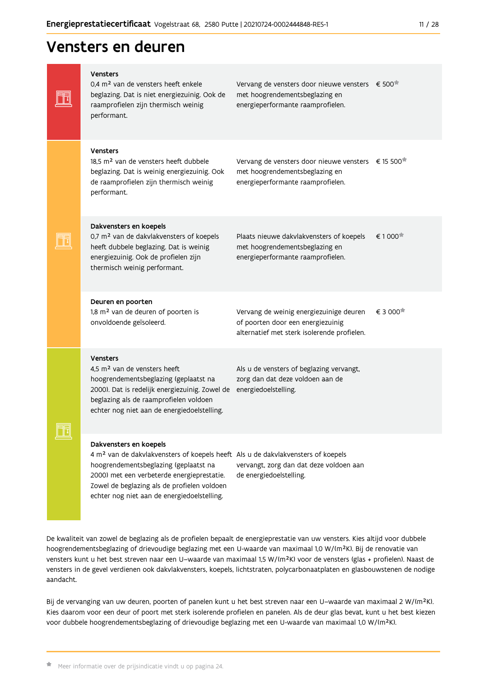| <b>Vensters</b><br>0,4 m <sup>2</sup> van de vensters heeft enkele<br>beglazing. Dat is niet energiezuinig. Ook de<br>raamprofielen zijn thermisch weinig<br>performant.                                                                                                                                    | Vervang de vensters door nieuwe vensters<br>met hoogrendementsbeglazing en<br>energieperformante raamprofielen.                       | € 500   |
|-------------------------------------------------------------------------------------------------------------------------------------------------------------------------------------------------------------------------------------------------------------------------------------------------------------|---------------------------------------------------------------------------------------------------------------------------------------|---------|
| <b>Vensters</b><br>18.5 m <sup>2</sup> van de vensters heeft dubbele<br>beglazing. Dat is weinig energiezuinig. Ook<br>de raamprofielen zijn thermisch weinig<br>performant.                                                                                                                                | Vervang de vensters door nieuwe vensters € 15 500 <sup>*</sup><br>met hoogrendementsbeglazing en<br>energieperformante raamprofielen. |         |
| Dakvensters en koepels<br>0,7 m <sup>2</sup> van de dakvlakvensters of koepels<br>heeft dubbele beglazing. Dat is weinig<br>energiezuinig. Ook de profielen zijn<br>thermisch weinig performant.                                                                                                            | Plaats nieuwe dakvlakvensters of koepels<br>met hoogrendementsbeglazing en<br>energieperformante raamprofielen.                       | € 1 000 |
| Deuren en poorten<br>1,8 m <sup>2</sup> van de deuren of poorten is<br>onvoldoende geïsoleerd.                                                                                                                                                                                                              | Vervang de weinig energiezuinige deuren<br>of poorten door een energiezuinig<br>alternatief met sterk isolerende profielen.           | € 3 000 |
| <b>Vensters</b><br>4,5 m <sup>2</sup> van de vensters heeft<br>hoogrendementsbeglazing (geplaatst na<br>2000). Dat is redelijk energiezuinig. Zowel de<br>beglazing als de raamprofielen voldoen<br>echter nog niet aan de energiedoelstelling.                                                             | Als u de vensters of beglazing vervangt,<br>zorg dan dat deze voldoen aan de<br>energiedoelstelling.                                  |         |
| Dakvensters en koepels<br>4 m <sup>2</sup> van de dakvlakvensters of koepels heeft Als u de dakvlakvensters of koepels<br>hoogrendementsbeglazing (geplaatst na<br>2000) met een verbeterde energieprestatie.<br>Zowel de beglazing als de profielen voldoen<br>echter nog niet aan de energiedoelstelling. | vervangt, zorg dan dat deze voldoen aan<br>de energiedoelstelling.                                                                    |         |

De kwaliteit van zowel de beglazing als de profielen bepaalt de energieprestatie van uw vensters. Kies altijd voor dubbele hoogrendementsbeglazing of drievoudige beglazing met een U-waarde van maximaal 1,0 W/(m<sup>2</sup>K). Bij de renovatie van vensters kunt u het best streven naar een U-waarde van maximaal 1,5 W/(m<sup>2</sup>K) voor de vensters (glas + profielen). Naast de vensters in de gevel verdienen ook dakvlakvensters, koepels, lichtstraten, polycarbonaatplaten en glasbouwstenen de nodige aandacht.

Bij de vervanging van uw deuren, poorten of panelen kunt u het best streven naar een U-waarde van maximaal 2 W/(m<sup>2</sup>K). Kies daarom voor een deur of poort met sterk isolerende profielen en panelen. Als de deur glas bevat, kunt u het best kiezen voor dubbele hoogrendementsbeglazing of drievoudige beglazing met een U-waarde van maximaal 1,0 W/(m<sup>2</sup>K).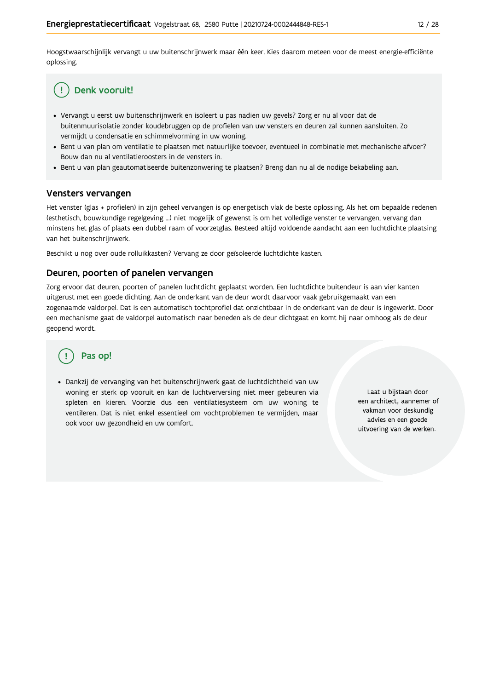Hoogstwaarschijnlijk vervangt u uw buitenschrijnwerk maar één keer. Kies daarom meteen voor de meest energie-efficiënte oplossing.

#### Denk vooruit! ÷

- · Vervangt u eerst uw buitenschrijnwerk en isoleert u pas nadien uw gevels? Zorg er nu al voor dat de buitenmuurisolatie zonder koudebruggen op de profielen van uw vensters en deuren zal kunnen aansluiten. Zo vermijdt u condensatie en schimmelvorming in uw woning.
- Bent u van plan om ventilatie te plaatsen met natuurlijke toevoer, eventueel in combinatie met mechanische afvoer? Bouw dan nu al ventilatieroosters in de vensters in.
- · Bent u van plan geautomatiseerde buitenzonwering te plaatsen? Breng dan nu al de nodige bekabeling aan.

#### Vensters vervangen

Het venster (glas + profielen) in zijn geheel vervangen is op energetisch vlak de beste oplossing. Als het om bepaalde redenen (esthetisch, bouwkundige regelgeving ...) niet mogelijk of gewenst is om het volledige venster te vervangen, vervang dan minstens het glas of plaats een dubbel raam of voorzetglas. Besteed altijd voldoende aandacht aan een luchtdichte plaatsing van het buitenschrijnwerk.

Beschikt u nog over oude rolluikkasten? Vervang ze door geïsoleerde luchtdichte kasten.

#### Deuren, poorten of panelen vervangen

Zorg ervoor dat deuren, poorten of panelen luchtdicht geplaatst worden. Een luchtdichte buitendeur is aan vier kanten uitgerust met een goede dichting. Aan de onderkant van de deur wordt daarvoor vaak gebruikgemaakt van een zogenaamde valdorpel. Dat is een automatisch tochtprofiel dat onzichtbaar in de onderkant van de deur is ingewerkt. Door een mechanisme gaat de valdorpel automatisch naar beneden als de deur dichtgaat en komt hij naar omhoog als de deur geopend wordt.

# Pas op!

· Dankzij de vervanging van het buitenschrijnwerk gaat de luchtdichtheid van uw woning er sterk op vooruit en kan de luchtverversing niet meer gebeuren via spleten en kieren. Voorzie dus een ventilatiesysteem om uw woning te ventileren. Dat is niet enkel essentieel om vochtproblemen te vermijden, maar ook voor uw gezondheid en uw comfort.

Laat u bijstaan door een architect, aannemer of vakman voor deskundig advies en een goede uitvoering van de werken.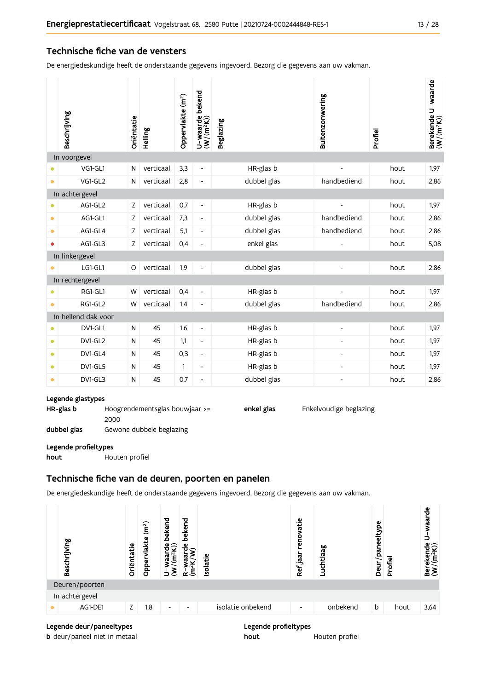#### Technische fiche van de vensters

De energiedeskundige heeft de onderstaande gegevens ingevoerd. Bezorg die gegevens aan uw vakman.

|           | Beschrijving        | Oriëntatie | Helling   | Oppervlakte (m <sup>2</sup> ) | bekend<br>$U$ –waarde l $(W/(m^2K))$ | <b>Beglazing</b> | Buitenzonwering | Profiel | Berekende U-waarde<br>(W/(m <sup>2</sup> K)) |
|-----------|---------------------|------------|-----------|-------------------------------|--------------------------------------|------------------|-----------------|---------|----------------------------------------------|
|           | In voorgevel        |            |           |                               |                                      |                  |                 |         |                                              |
|           | VG1-GL1             | N          | verticaal | 3,3                           | $\overline{\phantom{a}}$             | HR-glas b        |                 | hout    | 1,97                                         |
| $\bullet$ | VG1-GL2             | N          | verticaal | 2,8                           | $\qquad \qquad \blacksquare$         | dubbel glas      | handbediend     | hout    | 2,86                                         |
|           | In achtergevel      |            |           |                               |                                      |                  |                 |         |                                              |
|           | AG1-GL2             | Ζ          | verticaal | 0,7                           | $\blacksquare$                       | HR-glas b        |                 | hout    | 1,97                                         |
| $\bullet$ | AG1-GL1             | Z          | verticaal | 7,3                           | $\overline{\phantom{a}}$             | dubbel glas      | handbediend     | hout    | 2,86                                         |
| ۰         | AG1-GL4             | Z          | verticaal | 5,1                           | $\overline{\phantom{a}}$             | dubbel glas      | handbediend     | hout    | 2,86                                         |
| ۰         | AG1-GL3             | Z          | verticaal | 0,4                           | $\qquad \qquad \blacksquare$         | enkel glas       |                 | hout    | 5,08                                         |
|           | In linkergevel      |            |           |                               |                                      |                  |                 |         |                                              |
|           | LG1-GL1             | O          | verticaal | 1,9                           | $\overline{\phantom{a}}$             | dubbel glas      |                 | hout    | 2,86                                         |
|           | In rechtergevel     |            |           |                               |                                      |                  |                 |         |                                              |
|           | RG1-GL1             | W          | verticaal | 0,4                           | $\blacksquare$                       | HR-glas b        |                 | hout    | 1,97                                         |
| $\bullet$ | RG1-GL2             | W          | verticaal | 1,4                           | $\overline{\phantom{m}}$             | dubbel glas      | handbediend     | hout    | 2,86                                         |
|           | In hellend dak voor |            |           |                               |                                      |                  |                 |         |                                              |
|           | DV1-GL1             | N          | 45        | 1,6                           | $\blacksquare$                       | HR-glas b        | $\overline{a}$  | hout    | 1,97                                         |
| $\bullet$ | DV1-GL2             | N          | 45        | 1,1                           | $\overline{\phantom{a}}$             | HR-glas b        |                 | hout    | 1,97                                         |
| $\bullet$ | DV1-GL4             | N          | 45        | 0,3                           | $\overline{\phantom{a}}$             | HR-glas b        |                 | hout    | 1,97                                         |
| $\bullet$ | DV1-GL5             | N          | 45        | $\mathbf{1}$                  | $\overline{\phantom{a}}$             | HR-glas b        |                 | hout    | 1,97                                         |
| $\bullet$ | DV1-GL3             | N          | 45        | 0,7                           | $\overline{\phantom{m}}$             | dubbel glas      |                 | hout    | 2,86                                         |

#### Legende glastypes

HR-glas b Hoogrendementsglas bouwjaar >= 2000

dubbel glas Gewone dubbele beglazing

#### Legende profieltypes

hout Houten profiel

### Technische fiche van de deuren, poorten en panelen

De energiedeskundige heeft de onderstaande gegevens ingevoerd. Bezorg die gegevens aan uw vakman.

| Beschrijving   | Oriëntatie | (m <sup>2</sup> )<br>vlakte<br>Opper | bekend<br>$\frac{a}{2}$<br>$\widetilde{\mathsf{E}}$<br>gg | bekend<br>$\mathbf{e}_{\mathbf{c}}$<br>$\mathsf E$ | solatie |                   | renovatie<br>Ref jaar | Luchtlaag | paneeltype<br>Deur/ | Profiel | waarde<br>Berekende<br>$(W/(m^2K))$ |
|----------------|------------|--------------------------------------|-----------------------------------------------------------|----------------------------------------------------|---------|-------------------|-----------------------|-----------|---------------------|---------|-------------------------------------|
| Deuren/poorten |            |                                      |                                                           |                                                    |         |                   |                       |           |                     |         |                                     |
| In achtergevel |            |                                      |                                                           |                                                    |         |                   |                       |           |                     |         |                                     |
| AG1-DE1        | Z.         | 1,8                                  | ٠                                                         | -                                                  |         | isolatie onbekend | ٠                     | onbekend  | b                   | hout    | 3,64                                |
|                |            |                                      |                                                           |                                                    |         |                   |                       |           |                     |         |                                     |

hout

enkel glas

#### Legende deur/paneeltypes

**b** deur/paneel niet in metaal

Legende profieltypes

Houten profiel

Enkelvoudige beglazing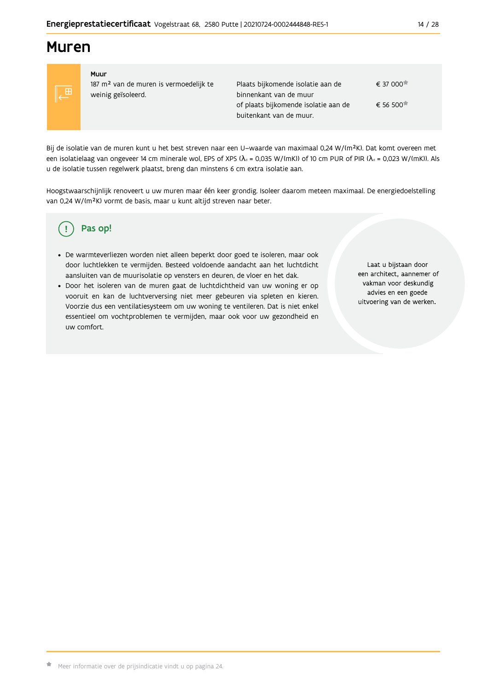# **Muren**



Muur 187 m<sup>2</sup> van de muren is vermoedelijk te weinig geïsoleerd.

Plaats bijkomende isolatie aan de  $\epsilon$  37 000 $\pi$ binnenkant van de muur € 56 500 of plaats bijkomende isolatie aan de buitenkant van de muur.

Bij de isolatie van de muren kunt u het best streven naar een U-waarde van maximaal 0,24 W/(m<sup>2</sup>K). Dat komt overeen met een isolatielaag van ongeveer 14 cm minerale wol, EPS of XPS ( $\lambda_a$  = 0,035 W/(mK)) of 10 cm PUR of PIR ( $\lambda_a$  = 0,023 W/(mK)). Als u de isolatie tussen regelwerk plaatst, breng dan minstens 6 cm extra isolatie aan.

Hoogstwaarschijnlijk renoveert u uw muren maar één keer grondig. Isoleer daarom meteen maximaal. De energiedoelstelling van 0,24 W/(m<sup>2</sup>K) vormt de basis, maar u kunt altijd streven naar beter.

#### Pas op! Ţ

- · De warmteverliezen worden niet alleen beperkt door goed te isoleren, maar ook door luchtlekken te vermijden. Besteed voldoende aandacht aan het luchtdicht aansluiten van de muurisolatie op vensters en deuren, de vloer en het dak.
- · Door het isoleren van de muren gaat de luchtdichtheid van uw woning er op vooruit en kan de luchtverversing niet meer gebeuren via spleten en kieren. Voorzie dus een ventilatiesysteem om uw woning te ventileren. Dat is niet enkel essentieel om vochtproblemen te vermijden, maar ook voor uw gezondheid en uw comfort.

Laat u bijstaan door een architect, aannemer of vakman voor deskundig advies en een goede uitvoering van de werken.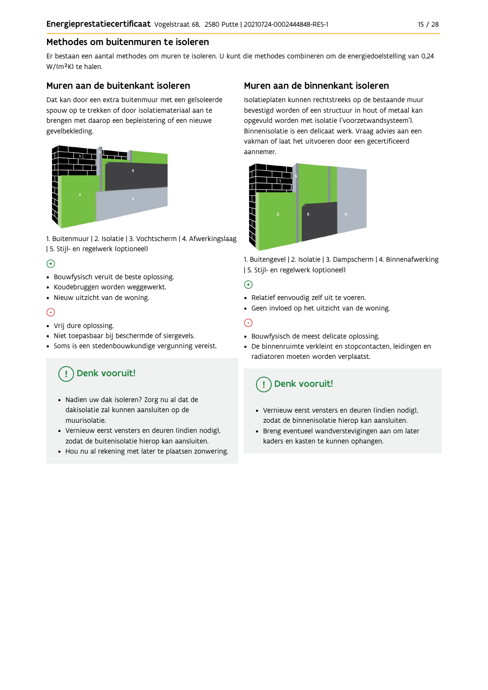### Methodes om buitenmuren te isoleren

Er bestaan een aantal methodes om muren te isoleren. U kunt die methodes combineren om de energiedoelstelling van 0,24 W/(m<sup>2</sup>K) te halen.

#### Muren aan de buitenkant isoleren

Dat kan door een extra buitenmuur met een geïsoleerde spouw op te trekken of door isolatiemateriaal aan te brengen met daarop een bepleistering of een nieuwe gevelbekleding.



1. Buitenmuur | 2. Isolatie | 3. Vochtscherm | 4. Afwerkingslaag | 5. Stijl- en regelwerk (optioneel)

### $\bigoplus$

- Bouwfysisch veruit de beste oplossing.
- Koudebruggen worden weggewerkt.
- · Nieuw uitzicht van de woning.

### $\odot$

#### • Vrij dure oplossing.

- · Niet toepasbaar bij beschermde of siergevels.
- Soms is een stedenbouwkundige vergunning vereist.

# Denk vooruit!

- · Nadien uw dak isoleren? Zorg nu al dat de dakisolatie zal kunnen aansluiten op de muurisolatie.
- · Vernieuw eerst vensters en deuren (indien nodig), zodat de buitenisolatie hierop kan aansluiten.
- Hou nu al rekening met later te plaatsen zonwering.

### Muren aan de binnenkant isoleren

Isolatieplaten kunnen rechtstreeks op de bestaande muur bevestigd worden of een structuur in hout of metaal kan opgevuld worden met isolatie ('voorzetwandsysteem'). Binnenisolatie is een delicaat werk. Vraag advies aan een vakman of laat het uitvoeren door een gecertificeerd aannemer



1. Buitengevel | 2. Isolatie | 3. Dampscherm | 4. Binnenafwerking | 5. Stijl- en regelwerk (optioneel)

#### $\bigoplus$

- Relatief eenvoudig zelf uit te voeren.
- Geen invloed op het uitzicht van de woning.

### ⊝

- Bouwfysisch de meest delicate oplossing.
- · De binnenruimte verkleint en stopcontacten, leidingen en radiatoren moeten worden verplaatst.

# Denk vooruit!

- Vernieuw eerst vensters en deuren (indien nodig), zodat de binnenisolatie hierop kan aansluiten.
- · Breng eventueel wandverstevigingen aan om later kaders en kasten te kunnen ophangen.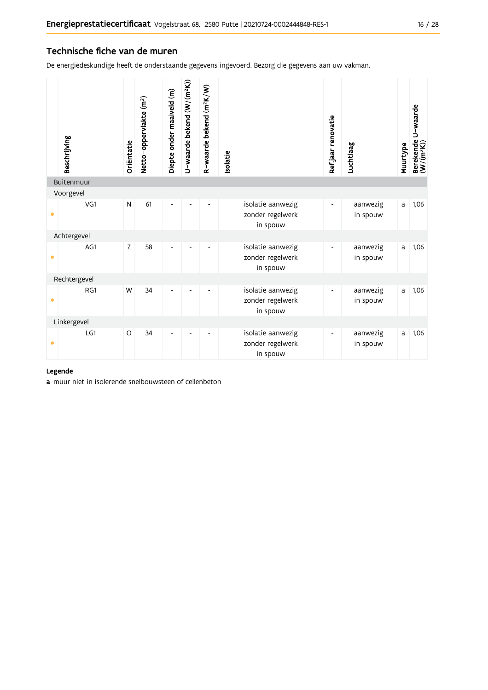#### Technische fiche van de muren

De energiedeskundige heeft de onderstaande gegevens ingevoerd. Bezorg die gegevens aan uw vakman.

|           | Beschrijving | Oriëntatie | Netto-oppervlakte (m <sup>2</sup> ) | Diepte onder maaiveld (m) | U-waarde bekend (W/(m <sup>2</sup> K)) | R-waarde bekend (m <sup>2</sup> K/W) | solatie                                           | Refjaar renovatie        | Luchtlaag            | Muurtype | Berekende U-waarde<br>(W/(m <sup>2</sup> K)) |
|-----------|--------------|------------|-------------------------------------|---------------------------|----------------------------------------|--------------------------------------|---------------------------------------------------|--------------------------|----------------------|----------|----------------------------------------------|
|           | Buitenmuur   |            |                                     |                           |                                        |                                      |                                                   |                          |                      |          |                                              |
|           | Voorgevel    |            |                                     |                           |                                        |                                      |                                                   |                          |                      |          |                                              |
| $\bullet$ | VG1          | N          | 61                                  |                           |                                        |                                      | isolatie aanwezig<br>zonder regelwerk<br>in spouw |                          | aanwezig<br>in spouw | a        | 1,06                                         |
|           | Achtergevel  |            |                                     |                           |                                        |                                      |                                                   |                          |                      |          |                                              |
| $\bullet$ | AG1          | Z          | 58                                  | $\overline{a}$            |                                        |                                      | isolatie aanwezig<br>zonder regelwerk<br>in spouw | $\overline{\phantom{0}}$ | aanwezig<br>in spouw | a        | 1,06                                         |
|           | Rechtergevel |            |                                     |                           |                                        |                                      |                                                   |                          |                      |          |                                              |
| $\bullet$ | RG1          | W          | 34                                  | $\overline{a}$            |                                        | ÷,                                   | isolatie aanwezig<br>zonder regelwerk<br>in spouw | $\overline{\phantom{0}}$ | aanwezig<br>in spouw | a        | 1,06                                         |
|           | Linkergevel  |            |                                     |                           |                                        |                                      |                                                   |                          |                      |          |                                              |
| $\bullet$ | LG1          | $\circ$    | 34                                  |                           |                                        |                                      | isolatie aanwezig<br>zonder regelwerk<br>in spouw |                          | aanwezig<br>in spouw | a        | 1,06                                         |

#### Legende

a muur niet in isolerende snelbouwsteen of cellenbeton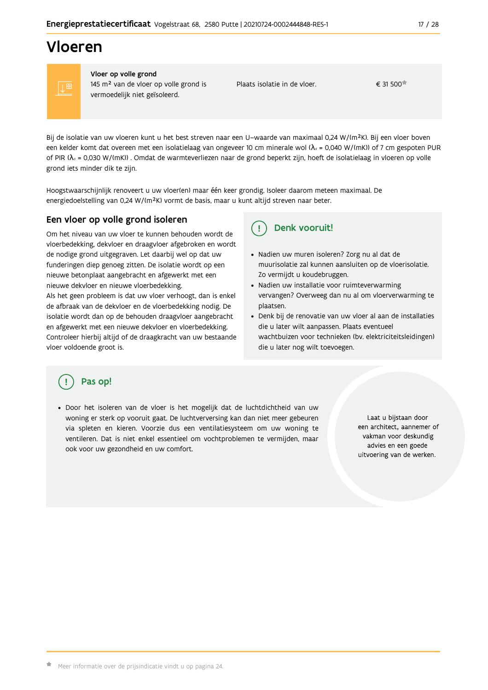# Vloeren



Vloer op volle grond 145 m<sup>2</sup> van de vloer op volle grond is vermoedelijk niet geïsoleerd.

Plaats isolatie in de vloer.

€ 31 500

Bij de isolatie van uw vloeren kunt u het best streven naar een U-waarde van maximaal 0,24 W/(m<sup>2</sup>K). Bij een vloer boven een kelder komt dat overeen met een isolatielaag van ongeveer 10 cm minerale wol ( $\lambda$ <sub>d</sub> = 0,040 W/(mK)) of 7 cm gespoten PUR of PIR ( $\lambda_0$  = 0,030 W/(mK)). Omdat de warmteverliezen naar de grond beperkt zijn, hoeft de isolatielaag in vloeren op volle grond iets minder dik te zijn.

Hoogstwaarschijnlijk renoveert u uw vloer(en) maar één keer grondig. Isoleer daarom meteen maximaal. De energiedoelstelling van 0,24 W/(m<sup>2</sup>K) vormt de basis, maar u kunt altijd streven naar beter.

#### Een vloer op volle grond isoleren

Om het niveau van uw vloer te kunnen behouden wordt de vloerbedekking, dekvloer en draagvloer afgebroken en wordt de nodige grond uitgegraven. Let daarbij wel op dat uw funderingen diep genoeg zitten. De isolatie wordt op een nieuwe betonplaat aangebracht en afgewerkt met een nieuwe dekvloer en nieuwe vloerbedekking.

Als het geen probleem is dat uw vloer verhoogt, dan is enkel de afbraak van de dekvloer en de vloerbedekking nodig. De isolatie wordt dan op de behouden draagvloer aangebracht en afgewerkt met een nieuwe dekvloer en vloerbedekking. Controleer hierbij altijd of de draagkracht van uw bestaande vloer voldoende groot is.

#### Denk vooruit!  $\mathbf{I}$

- · Nadien uw muren isoleren? Zorg nu al dat de muurisolatie zal kunnen aansluiten op de vloerisolatie. Zo vermijdt u koudebruggen.
- Nadien uw installatie voor ruimteverwarming vervangen? Overweeg dan nu al om vloerverwarming te plaatsen.
- · Denk bij de renovatie van uw vloer al aan de installaties die u later wilt aanpassen. Plaats eventueel wachtbuizen voor technieken (bv. elektriciteitsleidingen) die u later nog wilt toevoegen.

### Pas op!

· Door het isoleren van de vloer is het mogelijk dat de luchtdichtheid van uw woning er sterk op vooruit gaat. De luchtverversing kan dan niet meer gebeuren via spleten en kieren. Voorzie dus een ventilatiesysteem om uw woning te ventileren. Dat is niet enkel essentieel om vochtproblemen te vermijden, maar ook voor uw gezondheid en uw comfort.

Laat u bijstaan door een architect, aannemer of vakman voor deskundig advies en een goede uitvoering van de werken.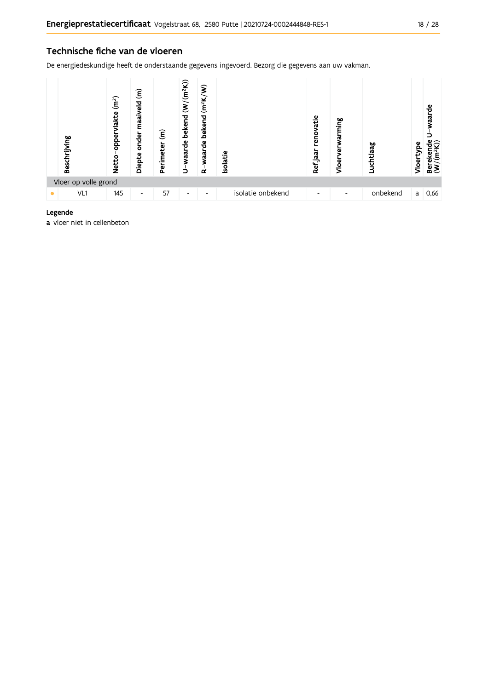#### Technische fiche van de vloeren

De energiedeskundige heeft de onderstaande gegevens ingevoerd. Bezorg die gegevens aan uw vakman.



#### Legende

a vloer niet in cellenbeton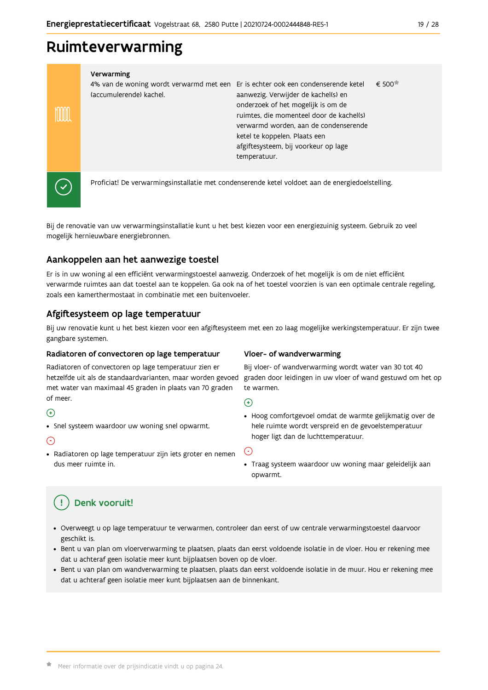# Ruimteverwarming

#### Verwarming

| 1% van de woning wordt verwarmd met een Er is echter ook een condenserende ketel |                                          | € 500 |
|----------------------------------------------------------------------------------|------------------------------------------|-------|
| accumulerende) kachel.                                                           | aanwezig. Verwijder de kachel(s) en      |       |
|                                                                                  | onderzoek of het mogelijk is om de       |       |
|                                                                                  | ruimtes, die momenteel door de kachel(s) |       |
|                                                                                  | verwarmd worden, aan de condenserende    |       |
|                                                                                  | ketel te koppelen. Plaats een            |       |
|                                                                                  | afgiftesysteem, bij voorkeur op lage     |       |
|                                                                                  | temperatuur.                             |       |
|                                                                                  |                                          |       |



m

Proficiat! De verwarmingsinstallatie met condenserende ketel voldoet aan de energiedoelstelling.

Bij de renovatie van uw verwarmingsinstallatie kunt u het best kiezen voor een energiezuinig systeem. Gebruik zo veel mogelijk hernieuwbare energiebronnen.

### Aankoppelen aan het aanwezige toestel

Er is in uw woning al een efficiënt verwarmingstoestel aanwezig. Onderzoek of het mogelijk is om de niet efficiënt verwarmde ruimtes aan dat toestel aan te koppelen. Ga ook na of het toestel voorzien is van een optimale centrale regeling, zoals een kamerthermostaat in combinatie met een buitenvoeler.

### Afgiftesysteem op lage temperatuur

Bij uw renovatie kunt u het best kiezen voor een afgiftesysteem met een zo laag mogelijke werkingstemperatuur. Er zijn twee gangbare systemen.

#### Radiatoren of convectoren op lage temperatuur

Radiatoren of convectoren op lage temperatuur zien er hetzelfde uit als de standaardvarianten, maar worden gevoed met water van maximaal 45 graden in plaats van 70 graden of meer.

### $\bigoplus$

• Snel systeem waardoor uw woning snel opwarmt.

#### $\odot$

· Radiatoren op lage temperatuur zijn iets groter en nemen dus meer ruimte in.

### Vloer- of wandverwarming

Bij vloer- of wandverwarming wordt water van 30 tot 40 graden door leidingen in uw vloer of wand gestuwd om het op te warmen.

 $\bigoplus$ 

· Hoog comfortgevoel omdat de warmte gelijkmatig over de hele ruimte wordt verspreid en de gevoelstemperatuur hoger ligt dan de luchttemperatuur.

G

· Traag systeem waardoor uw woning maar geleidelijk aan opwarmt.

#### Denk vooruit! Ţ

- · Overweegt u op lage temperatuur te verwarmen, controleer dan eerst of uw centrale verwarmingstoestel daarvoor geschikt is.
- · Bent u van plan om vloerverwarming te plaatsen, plaats dan eerst voldoende isolatie in de vloer. Hou er rekening mee dat u achteraf geen isolatie meer kunt bijplaatsen boven op de vloer.
- · Bent u van plan om wandverwarming te plaatsen, plaats dan eerst voldoende isolatie in de muur. Hou er rekening mee dat u achteraf geen isolatie meer kunt bijplaatsen aan de binnenkant.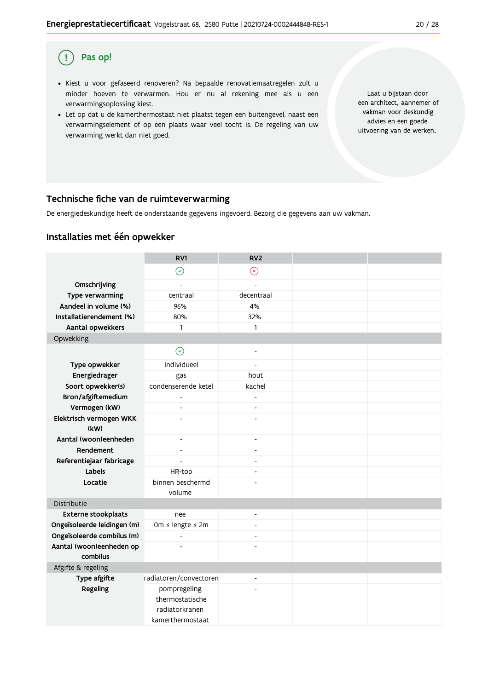#### Pas op!  $\left( \begin{array}{c} 1 \end{array} \right)$

- · Kiest u voor gefaseerd renoveren? Na bepaalde renovatiemaatregelen zult u minder hoeven te verwarmen. Hou er nu al rekening mee als u een verwarmingsoplossing kiest.
- . Let op dat u de kamerthermostaat niet plaatst tegen een buitengevel, naast een verwarmingselement of op een plaats waar veel tocht is. De regeling van uw verwarming werkt dan niet goed.

Laat u bijstaan door een architect, aannemer of vakman voor deskundig advies en een goede uitvoering van de werken.

#### Technische fiche van de ruimteverwarming

De energiedeskundige heeft de onderstaande gegevens ingevoerd. Bezorg die gegevens aan uw vakman.

### Installaties met één opwekker

|                                 | RV1                      | RV <sub>2</sub>          |  |
|---------------------------------|--------------------------|--------------------------|--|
|                                 | $\odot$                  | $\circledR$              |  |
| Omschrijving                    | $\overline{a}$           | $\overline{a}$           |  |
| Type verwarming                 | centraal                 | decentraal               |  |
| Aandeel in volume (%)           | 96%                      | 4%                       |  |
| Installatierendement (%)        | 80%                      | 32%                      |  |
| Aantal opwekkers                | $\mathbf{1}$             | $\mathbf{1}$             |  |
| Opwekking                       |                          |                          |  |
|                                 | $\odot$                  | $\overline{\phantom{a}}$ |  |
| Type opwekker                   | individueel              | $\overline{\phantom{a}}$ |  |
| Energiedrager                   | gas                      | hout                     |  |
| Soort opwekker(s)               | condenserende ketel      | kachel                   |  |
| Bron/afgiftemedium              | $\overline{a}$           | $\overline{a}$           |  |
| Vermogen (kW)                   | $\overline{a}$           | $\overline{a}$           |  |
| Elektrisch vermogen WKK<br>(kW) | $\overline{\phantom{a}}$ | $\overline{a}$           |  |
| Aantal (woon)eenheden           | $\overline{\phantom{a}}$ | $\overline{\phantom{a}}$ |  |
| Rendement                       | $\overline{a}$           | $\blacksquare$           |  |
| Referentiejaar fabricage        | $\overline{a}$           | $\blacksquare$           |  |
| Labels                          | HR-top                   | $\overline{\phantom{a}}$ |  |
| Locatie                         | binnen beschermd         |                          |  |
|                                 | volume                   |                          |  |
| Distributie                     |                          |                          |  |
| Externe stookplaats             | nee                      | $\overline{\phantom{a}}$ |  |
| Ongeïsoleerde leidingen (m)     | 0m ≤ lengte ≤ 2m         | ÷,                       |  |
| Ongeïsoleerde combilus (m)      | $\overline{a}$           | $\overline{a}$           |  |
| Aantal (woon)eenheden op        |                          |                          |  |
| combilus                        |                          |                          |  |
| Afgifte & regeling              |                          |                          |  |
| Type afgifte                    | radiatoren/convectoren   | $\overline{\phantom{a}}$ |  |
| Regeling                        | pompregeling             |                          |  |
|                                 | thermostatische          |                          |  |
|                                 | radiatorkranen           |                          |  |
|                                 | kamerthermostaat         |                          |  |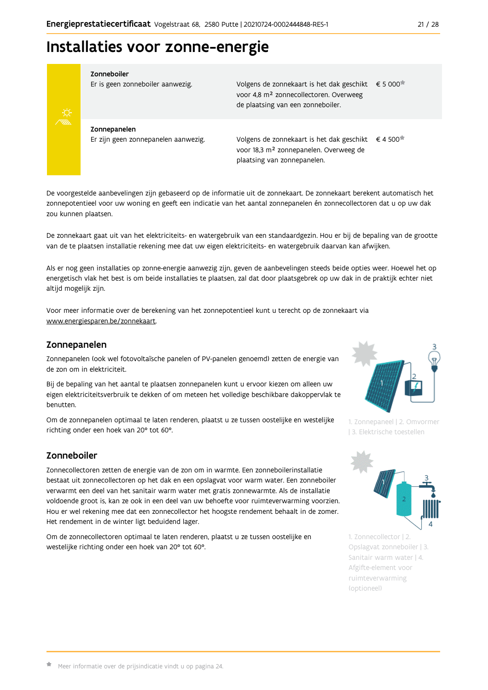# Installaties voor zonne-energie



#### Zonneboiler

Er is geen zonneboiler aanwezig.

Volgens de zonnekaart is het dak geschikt € 5 000 voor 4,8 m<sup>2</sup> zonnecollectoren. Overweeg de plaatsing van een zonneboiler.

Zonnepanelen Er zijn geen zonnepanelen aanwezig.

Volgens de zonnekaart is het dak geschikt  $\epsilon$  4 500<sup> $\star$ </sup> voor 18,3 m<sup>2</sup> zonnepanelen. Overweeg de plaatsing van zonnepanelen.

De voorgestelde aanbevelingen zijn gebaseerd op de informatie uit de zonnekaart. De zonnekaart berekent automatisch het zonnepotentieel voor uw woning en geeft een indicatie van het aantal zonnepanelen én zonnecollectoren dat u op uw dak zou kunnen plaatsen.

De zonnekaart gaat uit van het elektriciteits- en watergebruik van een standaardgezin. Hou er bij de bepaling van de grootte van de te plaatsen installatie rekening mee dat uw eigen elektriciteits- en watergebruik daarvan kan afwijken.

Als er nog geen installaties op zonne-energie aanwezig zijn, geven de aanbevelingen steeds beide opties weer. Hoewel het op energetisch vlak het best is om beide installaties te plaatsen, zal dat door plaatsgebrek op uw dak in de praktijk echter niet altijd mogelijk zijn.

Voor meer informatie over de berekening van het zonnepotentieel kunt u terecht op de zonnekaart via www.energiesparen.be/zonnekaart.

#### Zonnepanelen

Zonnepanelen (ook wel fotovoltaïsche panelen of PV-panelen genoemd) zetten de energie van de zon om in elektriciteit.

Bij de bepaling van het aantal te plaatsen zonnepanelen kunt u ervoor kiezen om alleen uw eigen elektriciteitsverbruik te dekken of om meteen het volledige beschikbare dakoppervlak te henutten

Om de zonnepanelen optimaal te laten renderen, plaatst u ze tussen oostelijke en westelijke richting onder een hoek van 20° tot 60°.

### Zonneboiler

Zonnecollectoren zetten de energie van de zon om in warmte. Een zonneboilerinstallatie bestaat uit zonnecollectoren op het dak en een opslagvat voor warm water. Een zonneboiler verwarmt een deel van het sanitair warm water met gratis zonnewarmte. Als de installatie voldoende groot is, kan ze ook in een deel van uw behoefte voor ruimteverwarming voorzien. Hou er wel rekening mee dat een zonnecollector het hoogste rendement behaalt in de zomer. Het rendement in de winter ligt beduidend lager.

Om de zonnecollectoren optimaal te laten renderen, plaatst u ze tussen oostelijke en westelijke richting onder een hoek van 20° tot 60°.



1. Zonnepaneel | 2. Omvormer | 3. Elektrische toestellen



1. Zonnecollector | 2. Opslagvat zonneboiler | 3. Sanitair warm water | 4. Afgifte-element voor ruimteverwarming (optioneel)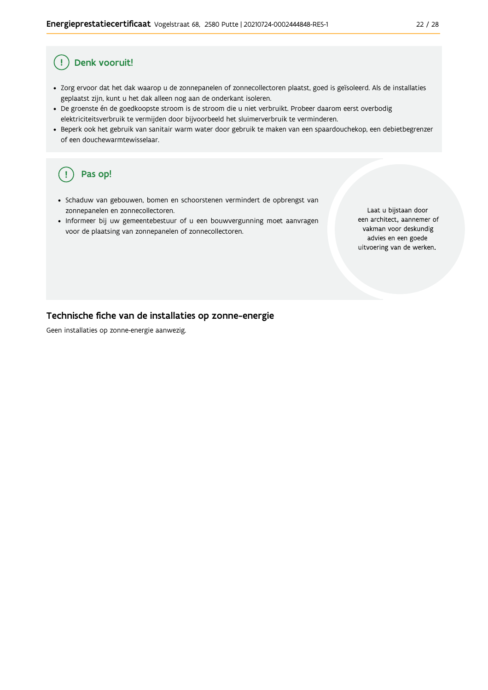#### Denk vooruit! Ţ

- · Zorg ervoor dat het dak waarop u de zonnepanelen of zonnecollectoren plaatst, goed is geïsoleerd. Als de installaties geplaatst zijn, kunt u het dak alleen nog aan de onderkant isoleren.
- · De groenste én de goedkoopste stroom is de stroom die u niet verbruikt. Probeer daarom eerst overbodig elektriciteitsverbruik te vermijden door bijvoorbeeld het sluimerverbruik te verminderen.
- · Beperk ook het gebruik van sanitair warm water door gebruik te maken van een spaardouchekop, een debietbegrenzer of een douchewarmtewisselaar.

#### Pas op! ( !

- · Schaduw van gebouwen, bomen en schoorstenen vermindert de opbrengst van zonnepanelen en zonnecollectoren.
- Informeer bij uw gemeentebestuur of u een bouwvergunning moet aanvragen voor de plaatsing van zonnepanelen of zonnecollectoren.

Laat u bijstaan door een architect, aannemer of vakman voor deskundig advies en een goede uitvoering van de werken.

#### Technische fiche van de installaties op zonne-energie

Geen installaties op zonne-energie aanwezig.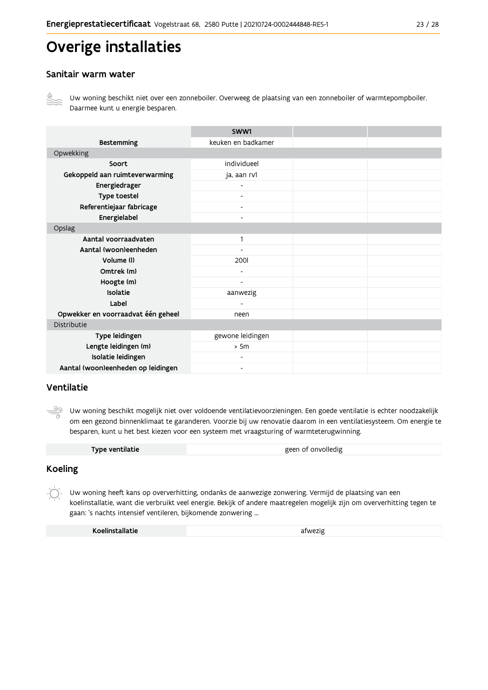# Overige installaties

### Sanitair warm water



Uw woning beschikt niet over een zonneboiler. Overweeg de plaatsing van een zonneboiler of warmtepompboiler. Daarmee kunt u energie besparen.

|                                    | SWW1                     |  |
|------------------------------------|--------------------------|--|
| <b>Bestemming</b>                  | keuken en badkamer       |  |
| Opwekking                          |                          |  |
| Soort                              | individueel              |  |
| Gekoppeld aan ruimteverwarming     | ja, aan rv1              |  |
| Energiedrager                      |                          |  |
| Type toestel                       |                          |  |
| Referentiejaar fabricage           | $\overline{\phantom{a}}$ |  |
| Energielabel                       | $\overline{\phantom{a}}$ |  |
| Opslag                             |                          |  |
| Aantal voorraadvaten               | $\mathbf{1}$             |  |
| Aantal (woon)eenheden              |                          |  |
| Volume (I)                         | 200                      |  |
| Omtrek (m)                         | $\blacksquare$           |  |
| Hoogte (m)                         | $\overline{\phantom{a}}$ |  |
| Isolatie                           | aanwezig                 |  |
| Label                              |                          |  |
| Opwekker en voorraadvat één geheel | neen                     |  |
| Distributie                        |                          |  |
| Type leidingen                     | gewone leidingen         |  |
| Lengte leidingen (m)               | > 5m                     |  |
| Isolatie leidingen                 |                          |  |
| Aantal (woon)eenheden op leidingen | $\overline{\phantom{a}}$ |  |

### Ventilatie

<u>99</u> Uw woning beschikt mogelijk niet over voldoende ventilatievoorzieningen. Een goede ventilatie is echter noodzakelijk om een gezond binnenklimaat te garanderen. Voorzie bij uw renovatie daarom in een ventilatiesysteem. Om energie te besparen, kunt u het best kiezen voor een systeem met vraagsturing of warmteterugwinning.

| Type ventilatie | geen of onvolledig |
|-----------------|--------------------|

#### **Koeling**

 $-\bigcirc$ Uw woning heeft kans op oververhitting, ondanks de aanwezige zonwering. Vermijd de plaatsing van een koelinstallatie, want die verbruikt veel energie. Bekijk of andere maatregelen mogelijk zijn om oververhitting tegen te gaan: 's nachts intensief ventileren, bijkomende zonwering ...

| Koelinstallatie | afwezig |
|-----------------|---------|
|                 |         |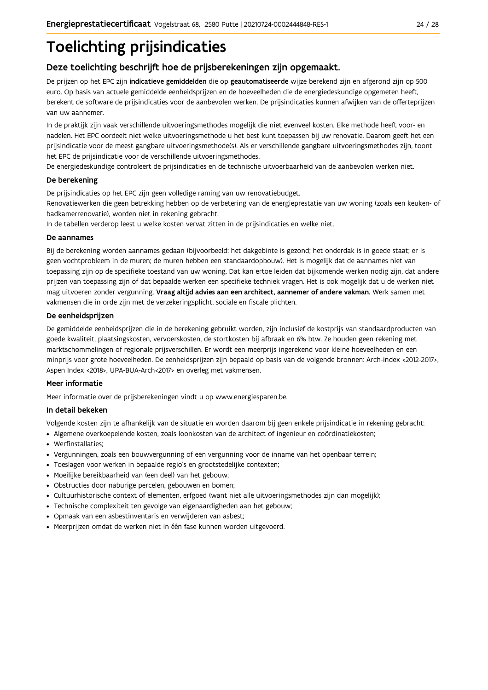# **Toelichting prijsindicaties**

### Deze toelichting beschrijft hoe de prijsberekeningen zijn opgemaakt.

De prijzen op het EPC zijn indicatieve gemiddelden die op geautomatiseerde wijze berekend zijn en afgerond zijn op 500 euro. Op basis van actuele gemiddelde eenheidsprijzen en de hoeveelheden die de energiedeskundige opgemeten heeft, berekent de software de prijsindicaties voor de aanbevolen werken. De prijsindicaties kunnen afwijken van de offerteprijzen van uw aannemer.

In de praktijk zijn vaak verschillende uitvoeringsmethodes mogelijk die niet evenveel kosten. Elke methode heeft voor- en nadelen. Het EPC oordeelt niet welke uitvoeringsmethode u het best kunt toepassen bij uw renovatie. Daarom geeft het een prijsindicatie voor de meest gangbare uitvoeringsmethode(s). Als er verschillende gangbare uitvoeringsmethodes zijn, toont het EPC de prijsindicatie voor de verschillende uitvoeringsmethodes.

De energiedeskundige controleert de prijsindicaties en de technische uitvoerbaarheid van de aanbevolen werken niet.

#### De berekening

De prijsindicaties op het EPC zijn geen volledige raming van uw renovatiebudget.

Renovatiewerken die geen betrekking hebben op de verbetering van de energieprestatie van uw woning (zoals een keuken- of badkamerrenovatie), worden niet in rekening gebracht.

In de tabellen verderop leest u welke kosten vervat zitten in de prijsindicaties en welke niet.

#### De aannames

Bij de berekening worden aannames gedaan (bijvoorbeeld: het dakgebinte is gezond; het onderdak is in goede staat; er is geen vochtprobleem in de muren; de muren hebben een standaardopbouw). Het is mogelijk dat de aannames niet van toepassing zijn op de specifieke toestand van uw woning. Dat kan ertoe leiden dat bijkomende werken nodig zijn, dat andere prijzen van toepassing zijn of dat bepaalde werken een specifieke techniek vragen. Het is ook mogelijk dat u de werken niet mag uitvoeren zonder vergunning. Vraag altijd advies aan een architect, aannemer of andere vakman. Werk samen met vakmensen die in orde zijn met de verzekeringsplicht, sociale en fiscale plichten.

#### De eenheidsprijzen

De gemiddelde eenheidspriizen die in de berekening gebruikt worden, zijn inclusief de kostpriis van standaardproducten van goede kwaliteit, plaatsingskosten, vervoerskosten, de stortkosten bij afbraak en 6% btw. Ze houden geen rekening met marktschommelingen of regionale prijsverschillen. Er wordt een meerprijs ingerekend voor kleine hoeveelheden en een minprijs voor grote hoeveelheden. De eenheidsprijzen zijn bepaald op basis van de volgende bronnen: Arch-index <2012-2017>, Aspen Index <2018>, UPA-BUA-Arch<2017> en overleg met vakmensen.

#### Meer informatie

Meer informatie over de prijsberekeningen vindt u op www.energiesparen.be.

#### In detail bekeken

Volgende kosten zijn te afhankelijk van de situatie en worden daarom bij geen enkele prijsindicatie in rekening gebracht:

- Algemene overkoepelende kosten, zoals loonkosten van de architect of ingenieur en coördinatiekosten;
- Werfinstallaties:
- · Vergunningen, zoals een bouwvergunning of een vergunning voor de inname van het openbaar terrein;
- Toeslagen voor werken in bepaalde regio's en grootstedelijke contexten:
- · Moeilijke bereikbaarheid van (een deel) van het gebouw;
- · Obstructies door naburige percelen, gebouwen en bomen;
- · Cultuurhistorische context of elementen, erfgoed (want niet alle uitvoeringsmethodes zijn dan mogelijk);
- · Technische complexiteit ten gevolge van eigenaardigheden aan het gebouw;
- · Opmaak van een asbestinventaris en verwijderen van asbest;
- · Meerprijzen omdat de werken niet in één fase kunnen worden uitgevoerd.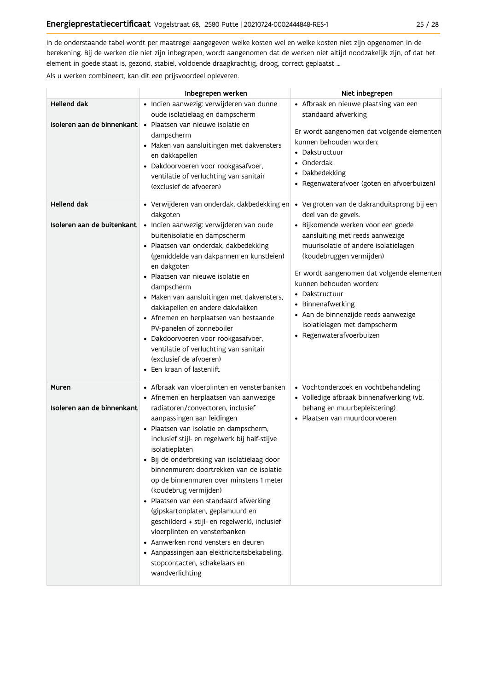In de onderstaande tabel wordt per maatregel aangegeven welke kosten wel en welke kosten niet zijn opgenomen in de berekening. Bij de werken die niet zijn inbegrepen, wordt aangenomen dat de werken niet altijd noodzakelijk zijn, of dat het element in goede staat is, gezond, stabiel, voldoende draagkrachtig, droog, correct geplaatst ...

Als u werken combineert, kan dit een prijsvoordeel opleveren.

|                                           | Inbegrepen werken                                                                                                                                                                                                                                                                                                                                                                                                                                                                                                                                                                                                                                                                                                                               | Niet inbegrepen                                                                                                                                                                                                                                                                                                                                                                                                                     |
|-------------------------------------------|-------------------------------------------------------------------------------------------------------------------------------------------------------------------------------------------------------------------------------------------------------------------------------------------------------------------------------------------------------------------------------------------------------------------------------------------------------------------------------------------------------------------------------------------------------------------------------------------------------------------------------------------------------------------------------------------------------------------------------------------------|-------------------------------------------------------------------------------------------------------------------------------------------------------------------------------------------------------------------------------------------------------------------------------------------------------------------------------------------------------------------------------------------------------------------------------------|
| <b>Hellend dak</b>                        | · Indien aanwezig: verwijderen van dunne<br>oude isolatielaag en dampscherm<br>Isoleren aan de binnenkant · Plaatsen van nieuwe isolatie en<br>dampscherm<br>• Maken van aansluitingen met dakvensters<br>en dakkapellen<br>· Dakdoorvoeren voor rookgasafvoer,<br>ventilatie of verluchting van sanitair<br>(exclusief de afvoeren)                                                                                                                                                                                                                                                                                                                                                                                                            | • Afbraak en nieuwe plaatsing van een<br>standaard afwerking<br>Er wordt aangenomen dat volgende elementen<br>kunnen behouden worden:<br>• Dakstructuur<br>• Onderdak<br>• Dakbedekking<br>· Regenwaterafvoer (goten en afvoerbuizen)                                                                                                                                                                                               |
| Hellend dak<br>Isoleren aan de buitenkant | • Verwijderen van onderdak, dakbedekking en<br>dakgoten<br>· Indien aanwezig: verwijderen van oude<br>buitenisolatie en dampscherm<br>· Plaatsen van onderdak, dakbedekking<br>(gemiddelde van dakpannen en kunstleien)<br>en dakgoten<br>· Plaatsen van nieuwe isolatie en<br>dampscherm<br>• Maken van aansluitingen met dakvensters,<br>dakkapellen en andere dakvlakken<br>• Afnemen en herplaatsen van bestaande<br>PV-panelen of zonneboiler<br>· Dakdoorvoeren voor rookgasafvoer,<br>ventilatie of verluchting van sanitair<br>(exclusief de afvoeren)<br>• Een kraan of lastenlift                                                                                                                                                     | • Vergroten van de dakranduitsprong bij een<br>deel van de gevels.<br>· Bijkomende werken voor een goede<br>aansluiting met reeds aanwezige<br>muurisolatie of andere isolatielagen<br>(koudebruggen vermijden)<br>Er wordt aangenomen dat volgende elementen<br>kunnen behouden worden:<br>• Dakstructuur<br>• Binnenafwerking<br>· Aan de binnenzijde reeds aanwezige<br>isolatielagen met dampscherm<br>· Regenwaterafvoerbuizen |
| Muren<br>Isoleren aan de binnenkant       | • Afbraak van vloerplinten en vensterbanken<br>• Afnemen en herplaatsen van aanwezige<br>radiatoren/convectoren. inclusief<br>aanpassingen aan leidingen<br>· Plaatsen van isolatie en dampscherm,<br>inclusief stijl- en regelwerk bij half-stijve<br>isolatieplaten<br>· Bij de onderbreking van isolatielaag door<br>binnenmuren: doortrekken van de isolatie<br>op de binnenmuren over minstens 1 meter<br>(koudebrug vermijden)<br>· Plaatsen van een standaard afwerking<br>(gipskartonplaten, geplamuurd en<br>geschilderd + stijl- en regelwerk), inclusief<br>vloerplinten en vensterbanken<br>• Aanwerken rond vensters en deuren<br>• Aanpassingen aan elektriciteitsbekabeling,<br>stopcontacten, schakelaars en<br>wandverlichting | • Vochtonderzoek en vochtbehandeling<br>• Volledige afbraak binnenafwerking (vb.<br>behang en muurbepleistering)<br>· Plaatsen van muurdoorvoeren                                                                                                                                                                                                                                                                                   |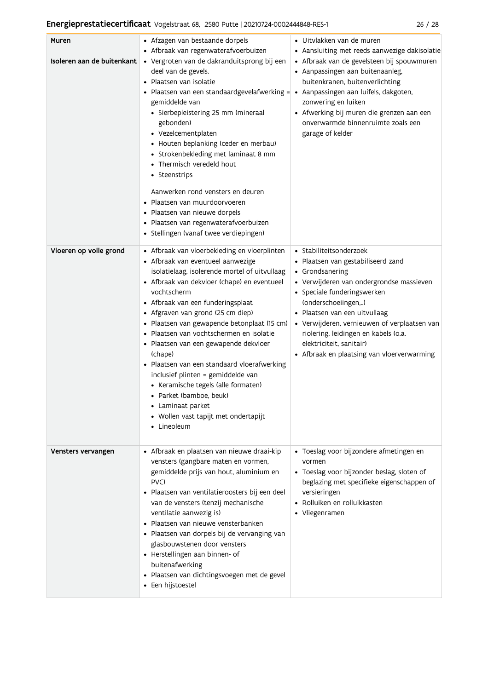### Energieprestatiecertificaat Vogelstraat 68, 2580 Putte | 20210724-0002444848-RES-1

|  | × |
|--|---|
|--|---|

| Muren<br>Isoleren aan de buitenkant | • Afzagen van bestaande dorpels<br>• Afbraak van regenwaterafvoerbuizen<br>· Vergroten van de dakranduitsprong bij een<br>deel van de gevels.<br>Plaatsen van isolatie<br>• Plaatsen van een standaardgevelafwerking =<br>gemiddelde van<br>· Sierbepleistering 25 mm (mineraal<br>gebonden)<br>• Vezelcementplaten<br>• Houten beplanking (ceder en merbau)<br>• Strokenbekleding met laminaat 8 mm<br>• Thermisch veredeld hout<br>• Steenstrips<br>Aanwerken rond vensters en deuren<br>· Plaatsen van muurdoorvoeren<br>· Plaatsen van nieuwe dorpels<br>· Plaatsen van regenwaterafvoerbuizen<br>· Stellingen (vanaf twee verdiepingen)                 | · Uitvlakken van de muren<br>• Aansluiting met reeds aanwezige dakisolatie<br>• Afbraak van de gevelsteen bij spouwmuren<br>• Aanpassingen aan buitenaanleg,<br>buitenkranen, buitenverlichting<br>· Aanpassingen aan luifels, dakgoten,<br>zonwering en luiken<br>• Afwerking bij muren die grenzen aan een<br>onverwarmde binnenruimte zoals een<br>garage of kelder                |
|-------------------------------------|--------------------------------------------------------------------------------------------------------------------------------------------------------------------------------------------------------------------------------------------------------------------------------------------------------------------------------------------------------------------------------------------------------------------------------------------------------------------------------------------------------------------------------------------------------------------------------------------------------------------------------------------------------------|---------------------------------------------------------------------------------------------------------------------------------------------------------------------------------------------------------------------------------------------------------------------------------------------------------------------------------------------------------------------------------------|
| Vloeren op volle grond              | • Afbraak van vloerbekleding en vloerplinten<br>• Afbraak van eventueel aanwezige<br>isolatielaag, isolerende mortel of uitvullaag<br>• Afbraak van dekvloer (chape) en eventueel<br>vochtscherm<br>• Afbraak van een funderingsplaat<br>• Afgraven van grond (25 cm diep)<br>· Plaatsen van gewapende betonplaat (15 cm)<br>• Plaatsen van vochtschermen en isolatie<br>· Plaatsen van een gewapende dekvloer<br>(chape)<br>• Plaatsen van een standaard vloerafwerking<br>inclusief plinten = gemiddelde van<br>• Keramische tegels (alle formaten)<br>• Parket (bamboe, beuk)<br>• Laminaat parket<br>· Wollen vast tapijt met ondertapijt<br>• Lineoleum | • Stabiliteitsonderzoek<br>· Plaatsen van gestabiliseerd zand<br>• Grondsanering<br>• Verwijderen van ondergrondse massieven<br>• Speciale funderingswerken<br>(onderschoeiingen,)<br>· Plaatsen van een uitvullaag<br>• Verwijderen, vernieuwen of verplaatsen van<br>riolering, leidingen en kabels (o.a.<br>elektriciteit, sanitair)<br>• Afbraak en plaatsing van vloerverwarming |
| Vensters vervangen                  | • Afbraak en plaatsen van nieuwe draai-kip<br>vensters (gangbare maten en vormen,<br>gemiddelde prijs van hout, aluminium en<br>PVC)<br>· Plaatsen van ventilatieroosters bij een deel<br>van de vensters (tenzij mechanische<br>ventilatie aanwezig is)<br>Plaatsen van nieuwe vensterbanken<br>Plaatsen van dorpels bij de vervanging van<br>glasbouwstenen door vensters<br>• Herstellingen aan binnen- of<br>buitenafwerking<br>· Plaatsen van dichtingsvoegen met de gevel<br>• Een hijstoestel                                                                                                                                                         | · Toeslag voor bijzondere afmetingen en<br>vormen<br>· Toeslag voor bijzonder beslag, sloten of<br>beglazing met specifieke eigenschappen of<br>versieringen<br>• Rolluiken en rolluikkasten<br>• Vliegenramen                                                                                                                                                                        |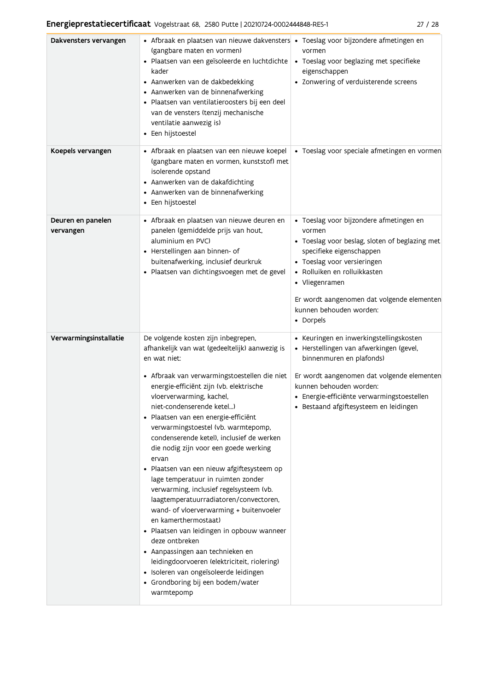| Dakvensters vervangen          | • Afbraak en plaatsen van nieuwe dakvensters • Toeslag voor bijzondere afmetingen en<br>(gangbare maten en vormen)<br>· Plaatsen van een geïsoleerde en luchtdichte<br>kader<br>• Aanwerken van de dakbedekking<br>• Aanwerken van de binnenafwerking<br>· Plaatsen van ventilatieroosters bij een deel<br>van de vensters (tenzij mechanische<br>ventilatie aanwezig is)<br>• Een hijstoestel                                                                                                                                                                                                                                                                                                                                                                                                                                                                                                                                     | vormen<br>• Toeslag voor beglazing met specifieke<br>eigenschappen<br>• Zonwering of verduisterende screens                                                                                                                                                                                            |
|--------------------------------|------------------------------------------------------------------------------------------------------------------------------------------------------------------------------------------------------------------------------------------------------------------------------------------------------------------------------------------------------------------------------------------------------------------------------------------------------------------------------------------------------------------------------------------------------------------------------------------------------------------------------------------------------------------------------------------------------------------------------------------------------------------------------------------------------------------------------------------------------------------------------------------------------------------------------------|--------------------------------------------------------------------------------------------------------------------------------------------------------------------------------------------------------------------------------------------------------------------------------------------------------|
| Koepels vervangen              | • Afbraak en plaatsen van een nieuwe koepel<br>(gangbare maten en vormen, kunststof) met<br>isolerende opstand<br>• Aanwerken van de dakafdichting<br>• Aanwerken van de binnenafwerking<br>• Een hijstoestel                                                                                                                                                                                                                                                                                                                                                                                                                                                                                                                                                                                                                                                                                                                      | · Toeslag voor speciale afmetingen en vormen                                                                                                                                                                                                                                                           |
| Deuren en panelen<br>vervangen | · Afbraak en plaatsen van nieuwe deuren en<br>panelen (gemiddelde prijs van hout,<br>aluminium en PVC)<br>• Herstellingen aan binnen- of<br>buitenafwerking, inclusief deurkruk<br>· Plaatsen van dichtingsvoegen met de gevel                                                                                                                                                                                                                                                                                                                                                                                                                                                                                                                                                                                                                                                                                                     | · Toeslag voor bijzondere afmetingen en<br>vormen<br>• Toeslag voor beslag, sloten of beglazing met<br>specifieke eigenschappen<br>• Toeslag voor versieringen<br>· Rolluiken en rolluikkasten<br>• Vliegenramen<br>Er wordt aangenomen dat volgende elementen<br>kunnen behouden worden:<br>• Dorpels |
| Verwarmingsinstallatie         | De volgende kosten zijn inbegrepen,<br>afhankelijk van wat (gedeeltelijk) aanwezig is<br>en wat niet:<br>· Afbraak van verwarmingstoestellen die niet<br>energie-efficiënt zijn (vb. elektrische<br>vloerverwarming, kachel,<br>niet-condenserende ketel)<br>Plaatsen van een energie-efficiënt<br>verwarmingstoestel (vb. warmtepomp,<br>condenserende ketel), inclusief de werken<br>die nodig zijn voor een goede werking<br>ervan<br>· Plaatsen van een nieuw afgiftesysteem op<br>lage temperatuur in ruimten zonder<br>verwarming, inclusief regelsysteem (vb.<br>laagtemperatuurradiatoren/convectoren,<br>wand- of vloerverwarming + buitenvoeler<br>en kamerthermostaat)<br>· Plaatsen van leidingen in opbouw wanneer<br>deze ontbreken<br>• Aanpassingen aan technieken en<br>leidingdoorvoeren (elektriciteit, riolering)<br>· Isoleren van ongeïsoleerde leidingen<br>• Grondboring bij een bodem/water<br>warmtepomp | • Keuringen en inwerkingstellingskosten<br>· Herstellingen van afwerkingen (gevel,<br>binnenmuren en plafonds)<br>Er wordt aangenomen dat volgende elementen<br>kunnen behouden worden:<br>· Energie-efficiënte verwarmingstoestellen<br>· Bestaand afgiftesysteem en leidingen                        |